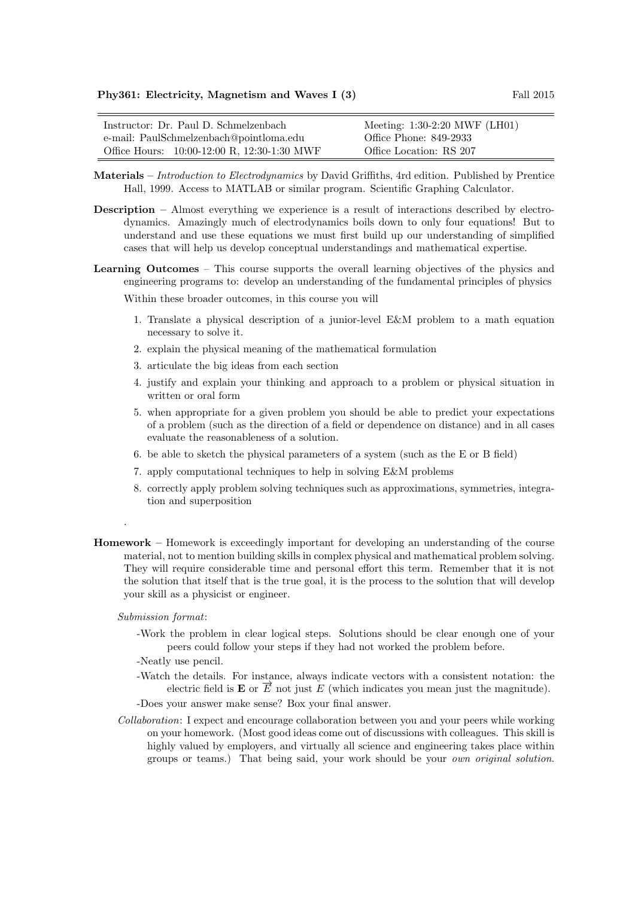| Instructor: Dr. Paul D. Schmelzenbach       | Meeting: 1:30-2:20 MWF (LH01) |
|---------------------------------------------|-------------------------------|
| e-mail: PaulSchmelzenbach@pointloma.edu     | Office Phone: 849-2933        |
| Office Hours: 10:00-12:00 R, 12:30-1:30 MWF | Office Location: RS 207       |

- Materials Introduction to Electrodynamics by David Griffiths, 4rd edition. Published by Prentice Hall, 1999. Access to MATLAB or similar program. Scientific Graphing Calculator.
- Description Almost everything we experience is a result of interactions described by electrodynamics. Amazingly much of electrodynamics boils down to only four equations! But to understand and use these equations we must first build up our understanding of simplified cases that will help us develop conceptual understandings and mathematical expertise.
- Learning Outcomes This course supports the overall learning objectives of the physics and engineering programs to: develop an understanding of the fundamental principles of physics

Within these broader outcomes, in this course you will

- 1. Translate a physical description of a junior-level E&M problem to a math equation necessary to solve it.
- 2. explain the physical meaning of the mathematical formulation
- 3. articulate the big ideas from each section
- 4. justify and explain your thinking and approach to a problem or physical situation in written or oral form
- 5. when appropriate for a given problem you should be able to predict your expectations of a problem (such as the direction of a field or dependence on distance) and in all cases evaluate the reasonableness of a solution.
- 6. be able to sketch the physical parameters of a system (such as the E or B field)
- 7. apply computational techniques to help in solving E&M problems
- 8. correctly apply problem solving techniques such as approximations, symmetries, integration and superposition
- Homework Homework is exceedingly important for developing an understanding of the course material, not to mention building skills in complex physical and mathematical problem solving. They will require considerable time and personal effort this term. Remember that it is not the solution that itself that is the true goal, it is the process to the solution that will develop your skill as a physicist or engineer.

Submission format:

.

-Work the problem in clear logical steps. Solutions should be clear enough one of your peers could follow your steps if they had not worked the problem before.

-Neatly use pencil.

-Watch the details. For instance, always indicate vectors with a consistent notation: the Find details. For instance, always indicate vectors with a consistent notation. In electric field is  $\mathbf{E}$  or  $\vec{E}$  not just E (which indicates you mean just the magnitude).

-Does your answer make sense? Box your final answer.

Collaboration: I expect and encourage collaboration between you and your peers while working on your homework. (Most good ideas come out of discussions with colleagues. This skill is highly valued by employers, and virtually all science and engineering takes place within groups or teams.) That being said, your work should be your own original solution.